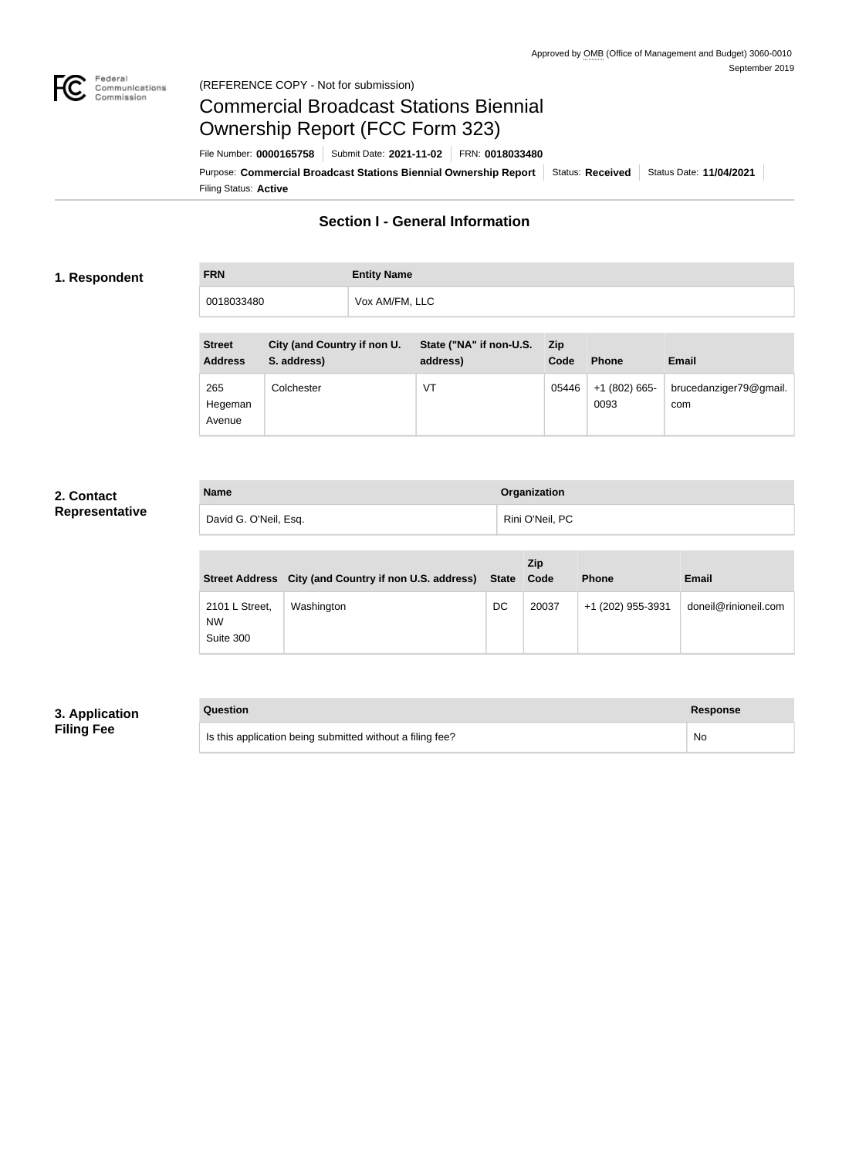

### Federal<br>Communications<br>Commission (REFERENCE COPY - Not for submission)

# Commercial Broadcast Stations Biennial Ownership Report (FCC Form 323)

Filing Status: **Active** Purpose: Commercial Broadcast Stations Biennial Ownership Report Status: Received Status Date: 11/04/2021 File Number: **0000165758** Submit Date: **2021-11-02** FRN: **0018033480**

## **Section I - General Information**

### **1. Respondent**

| Vox AM/FM, LLC<br>0018033480 |  |
|------------------------------|--|

| <b>Street</b><br><b>Address</b> | City (and Country if non U.<br>S. address) | State ("NA" if non-U.S.<br>address) | <b>Zip</b><br>Code | <b>Phone</b>            | <b>Email</b>                  |
|---------------------------------|--------------------------------------------|-------------------------------------|--------------------|-------------------------|-------------------------------|
| 265<br>Hegeman<br>Avenue        | Colchester                                 | VT                                  | 05446              | $+1$ (802) 665-<br>0093 | brucedanziger79@gmail.<br>com |

## **2. Contact Representative**

| <b>Name</b>           | Organization    |
|-----------------------|-----------------|
| David G. O'Neil, Esq. | Rini O'Neil, PC |

|                                          | Street Address City (and Country if non U.S. address) State Code |    | Zip   | <b>Phone</b>      | <b>Email</b>         |
|------------------------------------------|------------------------------------------------------------------|----|-------|-------------------|----------------------|
| 2101 L Street,<br><b>NW</b><br>Suite 300 | Washington                                                       | DC | 20037 | +1 (202) 955-3931 | doneil@rinioneil.com |

## **3. Application Filing Fee**

| Question                                                  | Response |
|-----------------------------------------------------------|----------|
| Is this application being submitted without a filing fee? | No       |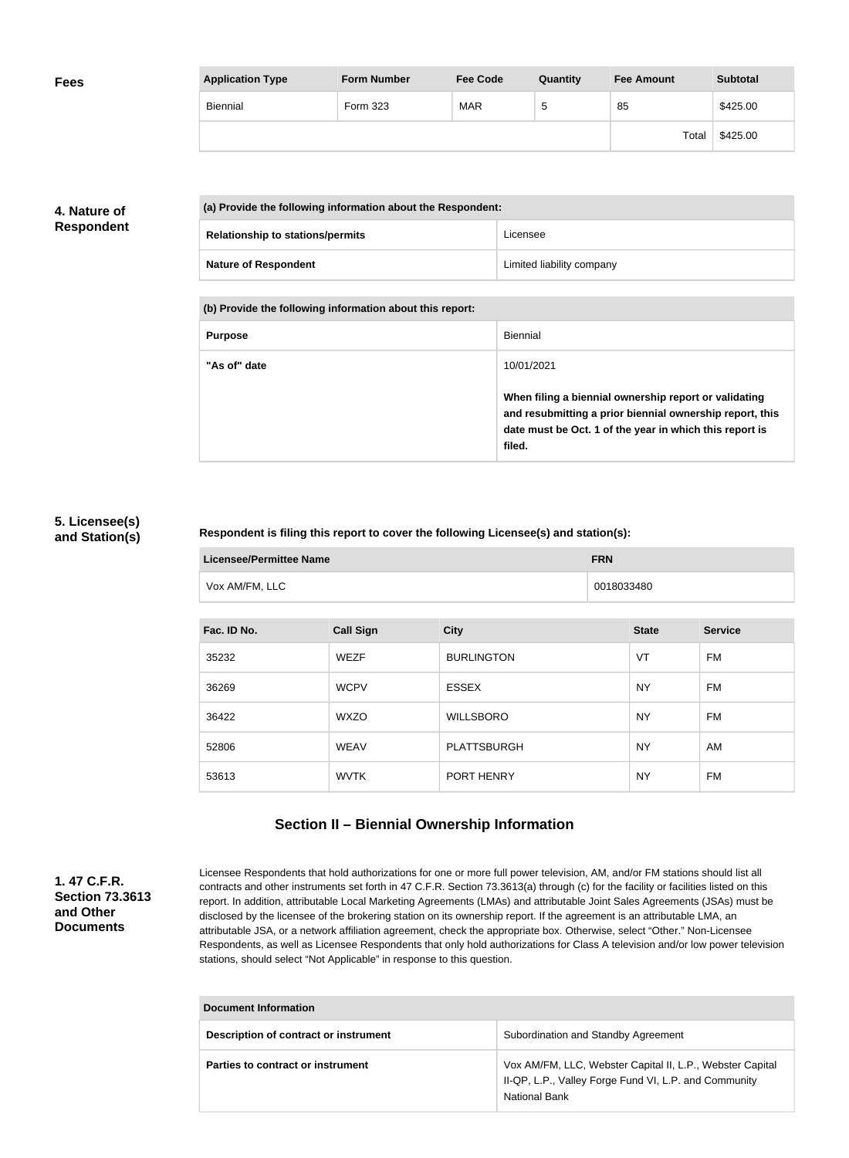| <b>Fees</b> | <b>Application Type</b> | <b>Form Number</b> | <b>Fee Code</b> | Quantity | <b>Fee Amount</b> | <b>Subtotal</b> |
|-------------|-------------------------|--------------------|-----------------|----------|-------------------|-----------------|
|             | Biennial                | Form 323           | <b>MAR</b>      | ≎        | 85                | \$425.00        |
|             |                         |                    |                 |          | Total             | \$425.00        |

## **4. Nature of Respondent**

| (a) Provide the following information about the Respondent: |                           |
|-------------------------------------------------------------|---------------------------|
| <b>Relationship to stations/permits</b>                     | Licensee                  |
| <b>Nature of Respondent</b>                                 | Limited liability company |

**(b) Provide the following information about this report:**

| <b>Purpose</b> | Biennial                                                                                                                                                                               |
|----------------|----------------------------------------------------------------------------------------------------------------------------------------------------------------------------------------|
| "As of" date   | 10/01/2021                                                                                                                                                                             |
|                | When filing a biennial ownership report or validating<br>and resubmitting a prior biennial ownership report, this<br>date must be Oct. 1 of the year in which this report is<br>filed. |

## **5. Licensee(s) and Station(s)**

### **Respondent is filing this report to cover the following Licensee(s) and station(s):**

| <b>Licensee/Permittee Name</b> | <b>FRN</b> |
|--------------------------------|------------|
| Vox AM/FM, LLC                 | 0018033480 |

| Fac. ID No. | <b>Call Sign</b> | <b>City</b>        | <b>State</b> | <b>Service</b> |
|-------------|------------------|--------------------|--------------|----------------|
| 35232       | <b>WEZF</b>      | <b>BURLINGTON</b>  | VT           | <b>FM</b>      |
| 36269       | <b>WCPV</b>      | <b>ESSEX</b>       | <b>NY</b>    | FM             |
| 36422       | <b>WXZO</b>      | <b>WILLSBORO</b>   | <b>NY</b>    | FM             |
| 52806       | <b>WEAV</b>      | <b>PLATTSBURGH</b> | <b>NY</b>    | AM             |
| 53613       | <b>WVTK</b>      | PORT HENRY         | <b>NY</b>    | FM             |

# **Section II – Biennial Ownership Information**

## **1. 47 C.F.R. Section 73.3613 and Other Documents**

Licensee Respondents that hold authorizations for one or more full power television, AM, and/or FM stations should list all contracts and other instruments set forth in 47 C.F.R. Section 73.3613(a) through (c) for the facility or facilities listed on this report. In addition, attributable Local Marketing Agreements (LMAs) and attributable Joint Sales Agreements (JSAs) must be disclosed by the licensee of the brokering station on its ownership report. If the agreement is an attributable LMA, an attributable JSA, or a network affiliation agreement, check the appropriate box. Otherwise, select "Other." Non-Licensee Respondents, as well as Licensee Respondents that only hold authorizations for Class A television and/or low power television stations, should select "Not Applicable" in response to this question.

| Document Information                  |                                                                                                                                            |  |
|---------------------------------------|--------------------------------------------------------------------------------------------------------------------------------------------|--|
| Description of contract or instrument | Subordination and Standby Agreement                                                                                                        |  |
| Parties to contract or instrument     | Vox AM/FM, LLC, Webster Capital II, L.P., Webster Capital<br>II-QP, L.P., Valley Forge Fund VI, L.P. and Community<br><b>National Bank</b> |  |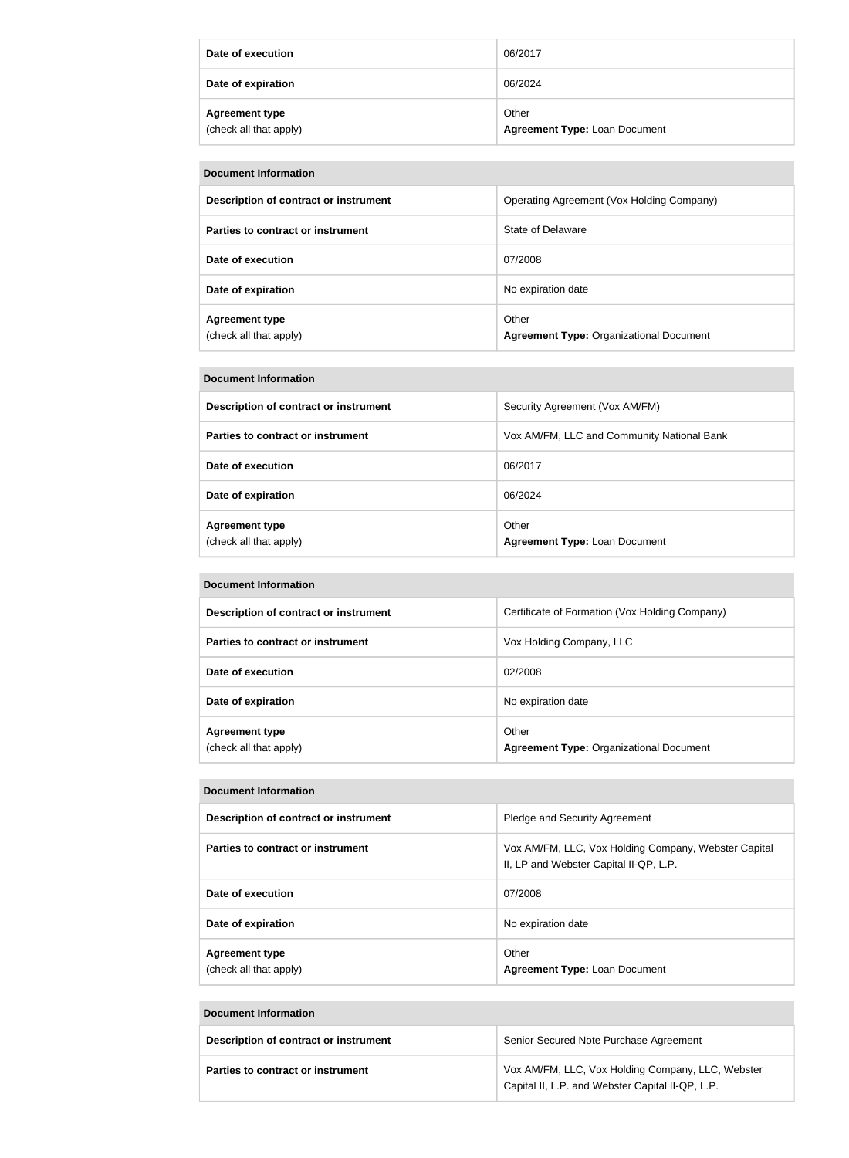| Date of execution                               | 06/2017                                       |
|-------------------------------------------------|-----------------------------------------------|
| Date of expiration                              | 06/2024                                       |
| <b>Agreement type</b><br>(check all that apply) | Other<br><b>Agreement Type: Loan Document</b> |

| <b>Document Information</b>                     |                                                         |  |  |
|-------------------------------------------------|---------------------------------------------------------|--|--|
| Description of contract or instrument           | Operating Agreement (Vox Holding Company)               |  |  |
| Parties to contract or instrument               | State of Delaware                                       |  |  |
| Date of execution                               | 07/2008                                                 |  |  |
| Date of expiration                              | No expiration date                                      |  |  |
| <b>Agreement type</b><br>(check all that apply) | Other<br><b>Agreement Type: Organizational Document</b> |  |  |

#### **Document Information**

| Description of contract or instrument           | Security Agreement (Vox AM/FM)                |
|-------------------------------------------------|-----------------------------------------------|
| Parties to contract or instrument               | Vox AM/FM, LLC and Community National Bank    |
| Date of execution                               | 06/2017                                       |
| Date of expiration                              | 06/2024                                       |
| <b>Agreement type</b><br>(check all that apply) | Other<br><b>Agreement Type: Loan Document</b> |

#### **Document Information**

| Description of contract or instrument           | Certificate of Formation (Vox Holding Company)          |
|-------------------------------------------------|---------------------------------------------------------|
| <b>Parties to contract or instrument</b>        | Vox Holding Company, LLC                                |
| Date of execution                               | 02/2008                                                 |
| Date of expiration                              | No expiration date                                      |
| <b>Agreement type</b><br>(check all that apply) | Other<br><b>Agreement Type: Organizational Document</b> |

#### **Document Information**

| Description of contract or instrument           | Pledge and Security Agreement                                                                  |
|-------------------------------------------------|------------------------------------------------------------------------------------------------|
| Parties to contract or instrument               | Vox AM/FM, LLC, Vox Holding Company, Webster Capital<br>II, LP and Webster Capital II-QP, L.P. |
| Date of execution                               | 07/2008                                                                                        |
| Date of expiration                              | No expiration date                                                                             |
| <b>Agreement type</b><br>(check all that apply) | Other<br><b>Agreement Type: Loan Document</b>                                                  |

#### **Document Information**

| Description of contract or instrument | Senior Secured Note Purchase Agreement                                                                |
|---------------------------------------|-------------------------------------------------------------------------------------------------------|
| Parties to contract or instrument     | Vox AM/FM, LLC, Vox Holding Company, LLC, Webster<br>Capital II, L.P. and Webster Capital II-QP, L.P. |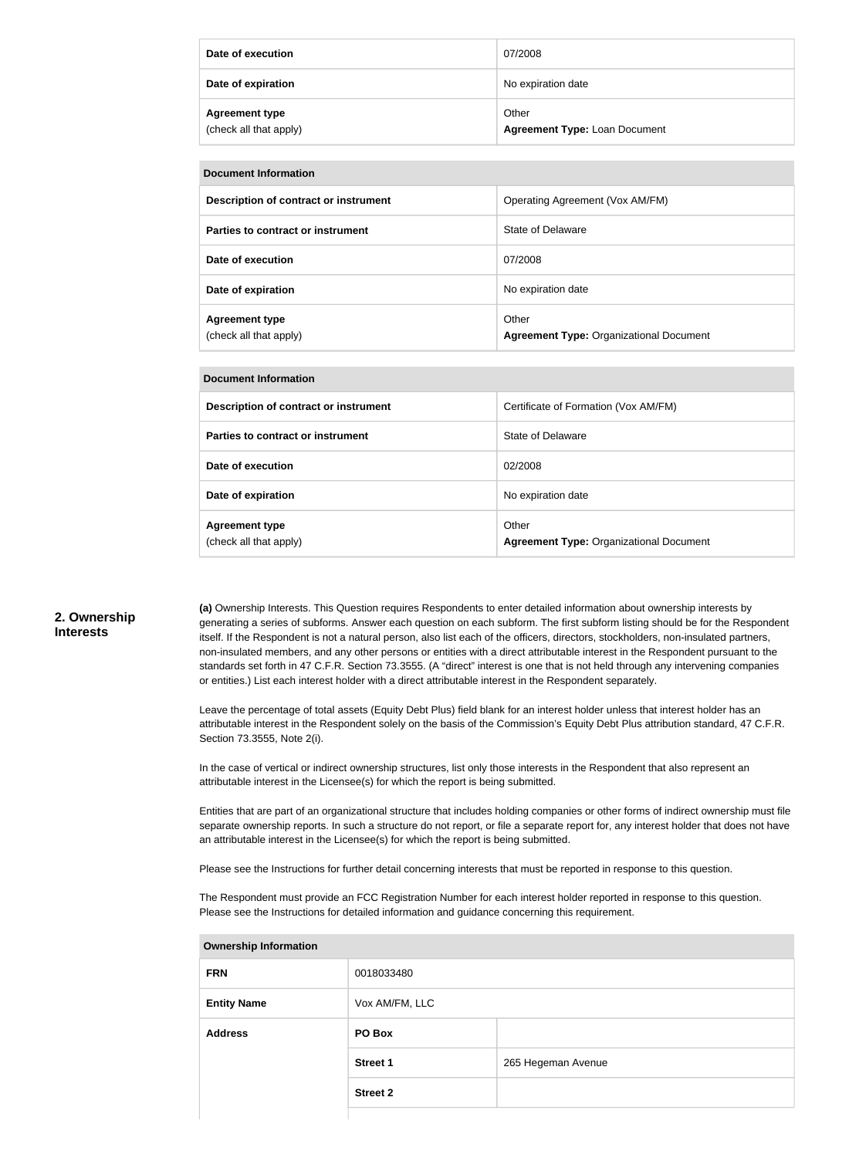| Date of execution                               | 07/2008                                       |
|-------------------------------------------------|-----------------------------------------------|
| Date of expiration                              | No expiration date                            |
| <b>Agreement type</b><br>(check all that apply) | Other<br><b>Agreement Type: Loan Document</b> |

| Document Information                            |                                                         |  |  |
|-------------------------------------------------|---------------------------------------------------------|--|--|
| Description of contract or instrument           | Operating Agreement (Vox AM/FM)                         |  |  |
| Parties to contract or instrument               | State of Delaware                                       |  |  |
| Date of execution                               | 07/2008                                                 |  |  |
| Date of expiration                              | No expiration date                                      |  |  |
| <b>Agreement type</b><br>(check all that apply) | Other<br><b>Agreement Type: Organizational Document</b> |  |  |

| Description of contract or instrument           | Certificate of Formation (Vox AM/FM)                    |
|-------------------------------------------------|---------------------------------------------------------|
| Parties to contract or instrument               | State of Delaware                                       |
| Date of execution                               | 02/2008                                                 |
| Date of expiration                              | No expiration date                                      |
| <b>Agreement type</b><br>(check all that apply) | Other<br><b>Agreement Type: Organizational Document</b> |

#### **2. Ownership Interests**

**(a)** Ownership Interests. This Question requires Respondents to enter detailed information about ownership interests by generating a series of subforms. Answer each question on each subform. The first subform listing should be for the Respondent itself. If the Respondent is not a natural person, also list each of the officers, directors, stockholders, non-insulated partners, non-insulated members, and any other persons or entities with a direct attributable interest in the Respondent pursuant to the standards set forth in 47 C.F.R. Section 73.3555. (A "direct" interest is one that is not held through any intervening companies or entities.) List each interest holder with a direct attributable interest in the Respondent separately.

Leave the percentage of total assets (Equity Debt Plus) field blank for an interest holder unless that interest holder has an attributable interest in the Respondent solely on the basis of the Commission's Equity Debt Plus attribution standard, 47 C.F.R. Section 73.3555, Note 2(i).

In the case of vertical or indirect ownership structures, list only those interests in the Respondent that also represent an attributable interest in the Licensee(s) for which the report is being submitted.

Entities that are part of an organizational structure that includes holding companies or other forms of indirect ownership must file separate ownership reports. In such a structure do not report, or file a separate report for, any interest holder that does not have an attributable interest in the Licensee(s) for which the report is being submitted.

Please see the Instructions for further detail concerning interests that must be reported in response to this question.

The Respondent must provide an FCC Registration Number for each interest holder reported in response to this question. Please see the Instructions for detailed information and guidance concerning this requirement.

| <b>Ownership Information</b> |                 |                    |  |
|------------------------------|-----------------|--------------------|--|
| <b>FRN</b>                   | 0018033480      |                    |  |
| <b>Entity Name</b>           | Vox AM/FM, LLC  |                    |  |
| <b>Address</b>               | PO Box          |                    |  |
|                              | <b>Street 1</b> | 265 Hegeman Avenue |  |
|                              | <b>Street 2</b> |                    |  |
|                              |                 |                    |  |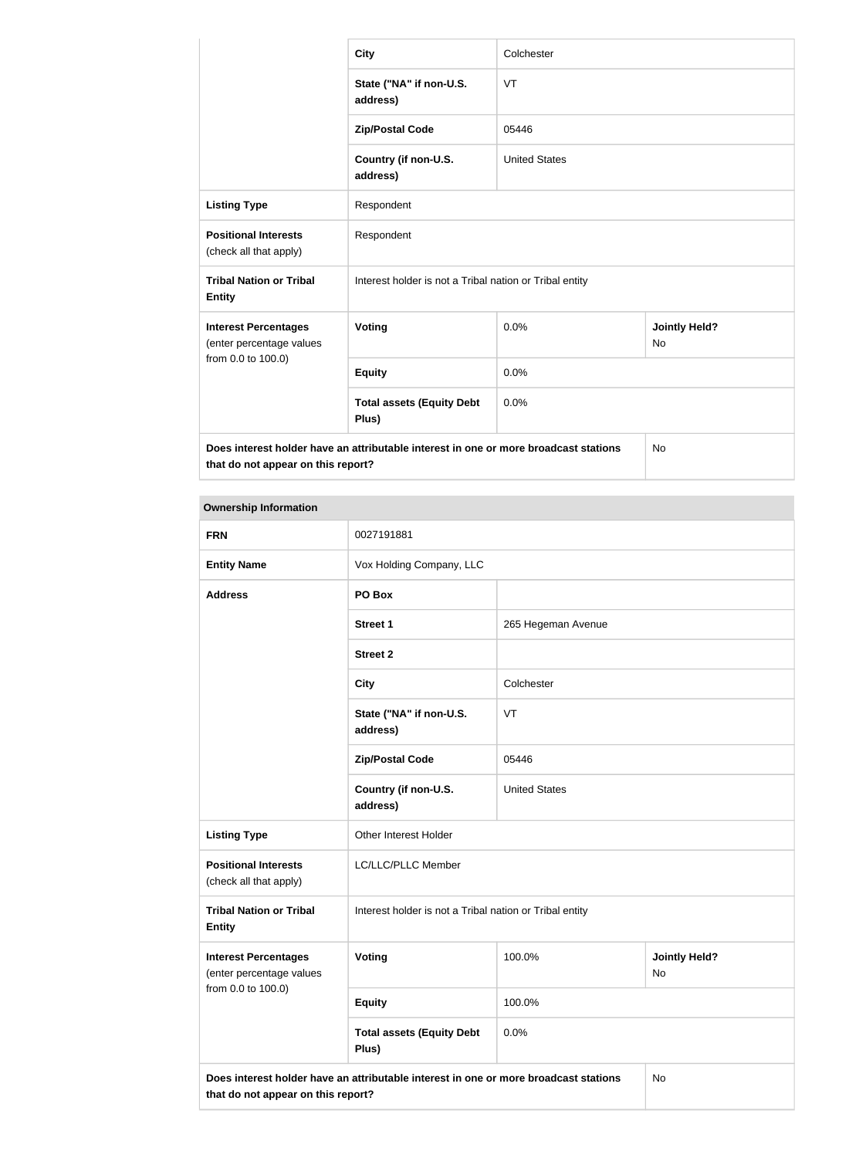|                                                                                                                            | <b>City</b>                                             | Colchester           |                            |  |
|----------------------------------------------------------------------------------------------------------------------------|---------------------------------------------------------|----------------------|----------------------------|--|
|                                                                                                                            | State ("NA" if non-U.S.<br>address)                     | VT                   |                            |  |
|                                                                                                                            | <b>Zip/Postal Code</b>                                  | 05446                |                            |  |
|                                                                                                                            | Country (if non-U.S.<br>address)                        | <b>United States</b> |                            |  |
| <b>Listing Type</b>                                                                                                        | Respondent                                              |                      |                            |  |
| <b>Positional Interests</b><br>(check all that apply)                                                                      | Respondent                                              |                      |                            |  |
| <b>Tribal Nation or Tribal</b><br><b>Entity</b>                                                                            | Interest holder is not a Tribal nation or Tribal entity |                      |                            |  |
| <b>Interest Percentages</b><br>(enter percentage values<br>from 0.0 to 100.0)                                              | Voting                                                  | 0.0%                 | <b>Jointly Held?</b><br>No |  |
|                                                                                                                            | <b>Equity</b>                                           | 0.0%                 |                            |  |
|                                                                                                                            | <b>Total assets (Equity Debt</b><br>Plus)               | 0.0%                 |                            |  |
| Does interest holder have an attributable interest in one or more broadcast stations<br>that do not appear on this report? |                                                         | No                   |                            |  |

#### **Ownership Information**

| <b>FRN</b>                                                                                                                 | 0027191881                                              |                      |                            |
|----------------------------------------------------------------------------------------------------------------------------|---------------------------------------------------------|----------------------|----------------------------|
| <b>Entity Name</b>                                                                                                         | Vox Holding Company, LLC                                |                      |                            |
| <b>Address</b>                                                                                                             | PO Box                                                  |                      |                            |
|                                                                                                                            | <b>Street 1</b>                                         | 265 Hegeman Avenue   |                            |
|                                                                                                                            | <b>Street 2</b>                                         |                      |                            |
|                                                                                                                            | <b>City</b>                                             | Colchester           |                            |
|                                                                                                                            | State ("NA" if non-U.S.<br>address)                     | VT                   |                            |
|                                                                                                                            | <b>Zip/Postal Code</b>                                  | 05446                |                            |
|                                                                                                                            | Country (if non-U.S.<br>address)                        | <b>United States</b> |                            |
| <b>Listing Type</b>                                                                                                        | Other Interest Holder                                   |                      |                            |
| <b>Positional Interests</b><br>(check all that apply)                                                                      | LC/LLC/PLLC Member                                      |                      |                            |
| <b>Tribal Nation or Tribal</b><br><b>Entity</b>                                                                            | Interest holder is not a Tribal nation or Tribal entity |                      |                            |
| <b>Interest Percentages</b><br>(enter percentage values<br>from 0.0 to 100.0)                                              | Voting                                                  | 100.0%               | <b>Jointly Held?</b><br>No |
|                                                                                                                            | <b>Equity</b>                                           | 100.0%               |                            |
|                                                                                                                            | <b>Total assets (Equity Debt</b><br>Plus)               | 0.0%                 |                            |
| Does interest holder have an attributable interest in one or more broadcast stations<br>that do not appear on this report? |                                                         | No                   |                            |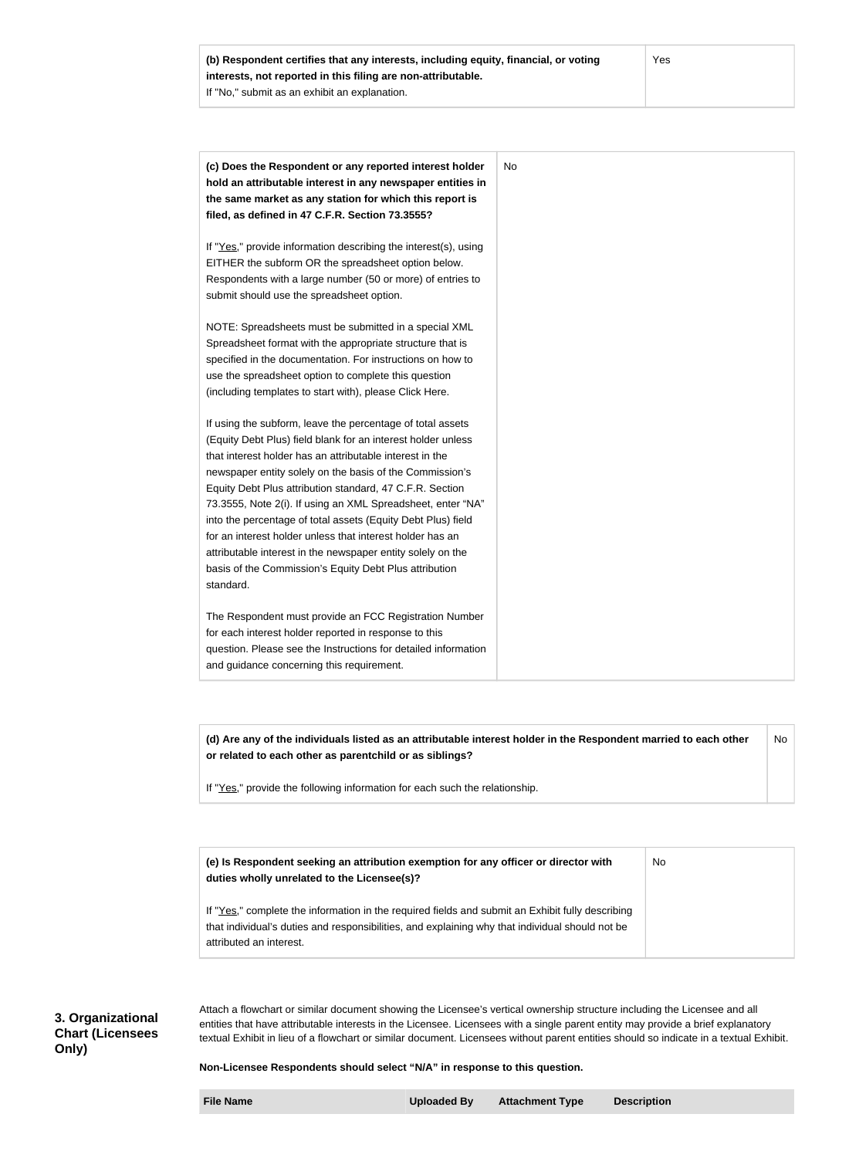**(c) Does the Respondent or any reported interest holder hold an attributable interest in any newspaper entities in the same market as any station for which this report is filed, as defined in 47 C.F.R. Section 73.3555?** If "Yes," provide information describing the interest(s), using EITHER the subform OR the spreadsheet option below. Respondents with a large number (50 or more) of entries to submit should use the spreadsheet option. NOTE: Spreadsheets must be submitted in a special XML Spreadsheet format with the appropriate structure that is specified in the documentation. For instructions on how to use the spreadsheet option to complete this question (including templates to start with), please Click Here. If using the subform, leave the percentage of total assets (Equity Debt Plus) field blank for an interest holder unless that interest holder has an attributable interest in the newspaper entity solely on the basis of the Commission's Equity Debt Plus attribution standard, 47 C.F.R. Section 73.3555, Note 2(i). If using an XML Spreadsheet, enter "NA" into the percentage of total assets (Equity Debt Plus) field for an interest holder unless that interest holder has an attributable interest in the newspaper entity solely on the basis of the Commission's Equity Debt Plus attribution standard. The Respondent must provide an FCC Registration Number for each interest holder reported in response to this question. Please see the Instructions for detailed information and guidance concerning this requirement. No

**(d) Are any of the individuals listed as an attributable interest holder in the Respondent married to each other or related to each other as parentchild or as siblings?** No

If "Yes," provide the following information for each such the relationship.

**(e) Is Respondent seeking an attribution exemption for any officer or director with duties wholly unrelated to the Licensee(s)?** If "Yes," complete the information in the required fields and submit an Exhibit fully describing that individual's duties and responsibilities, and explaining why that individual should not be attributed an interest. No

**3. Organizational Chart (Licensees Only)**

Attach a flowchart or similar document showing the Licensee's vertical ownership structure including the Licensee and all entities that have attributable interests in the Licensee. Licensees with a single parent entity may provide a brief explanatory textual Exhibit in lieu of a flowchart or similar document. Licensees without parent entities should so indicate in a textual Exhibit.

**Non-Licensee Respondents should select "N/A" in response to this question.**

**File Name Uploaded By Attachment Type Description**